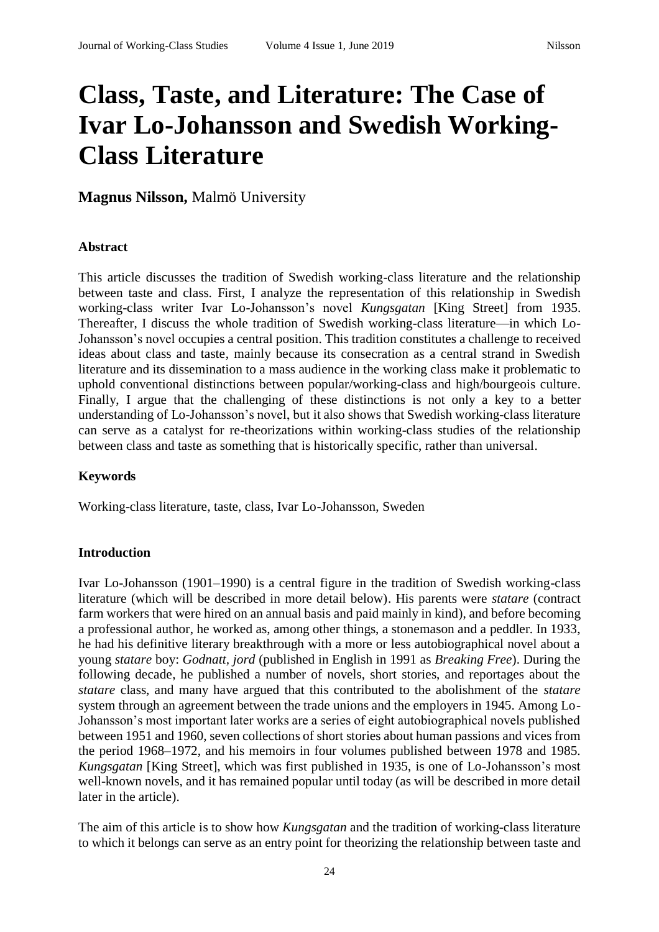# **Class, Taste, and Literature: The Case of Ivar Lo-Johansson and Swedish Working-Class Literature**

**Magnus Nilsson,** Malmö University

#### **Abstract**

This article discusses the tradition of Swedish working-class literature and the relationship between taste and class. First, I analyze the representation of this relationship in Swedish working-class writer Ivar Lo-Johansson's novel *Kungsgatan* [King Street] from 1935. Thereafter, I discuss the whole tradition of Swedish working-class literature—in which Lo-Johansson's novel occupies a central position. This tradition constitutes a challenge to received ideas about class and taste, mainly because its consecration as a central strand in Swedish literature and its dissemination to a mass audience in the working class make it problematic to uphold conventional distinctions between popular/working-class and high/bourgeois culture. Finally, I argue that the challenging of these distinctions is not only a key to a better understanding of Lo-Johansson's novel, but it also shows that Swedish working-class literature can serve as a catalyst for re-theorizations within working-class studies of the relationship between class and taste as something that is historically specific, rather than universal.

## **Keywords**

Working-class literature, taste, class, Ivar Lo-Johansson, Sweden

## **Introduction**

Ivar Lo-Johansson (1901–1990) is a central figure in the tradition of Swedish working-class literature (which will be described in more detail below). His parents were *statare* (contract farm workers that were hired on an annual basis and paid mainly in kind), and before becoming a professional author, he worked as, among other things, a stonemason and a peddler. In 1933, he had his definitive literary breakthrough with a more or less autobiographical novel about a young *statare* boy: *Godnatt, jord* (published in English in 1991 as *Breaking Free*). During the following decade, he published a number of novels, short stories, and reportages about the *statare* class, and many have argued that this contributed to the abolishment of the *statare*  system through an agreement between the trade unions and the employers in 1945. Among Lo-Johansson's most important later works are a series of eight autobiographical novels published between 1951 and 1960, seven collections of short stories about human passions and vices from the period 1968–1972, and his memoirs in four volumes published between 1978 and 1985. *Kungsgatan* [King Street], which was first published in 1935, is one of Lo-Johansson's most well-known novels, and it has remained popular until today (as will be described in more detail later in the article).

The aim of this article is to show how *Kungsgatan* and the tradition of working-class literature to which it belongs can serve as an entry point for theorizing the relationship between taste and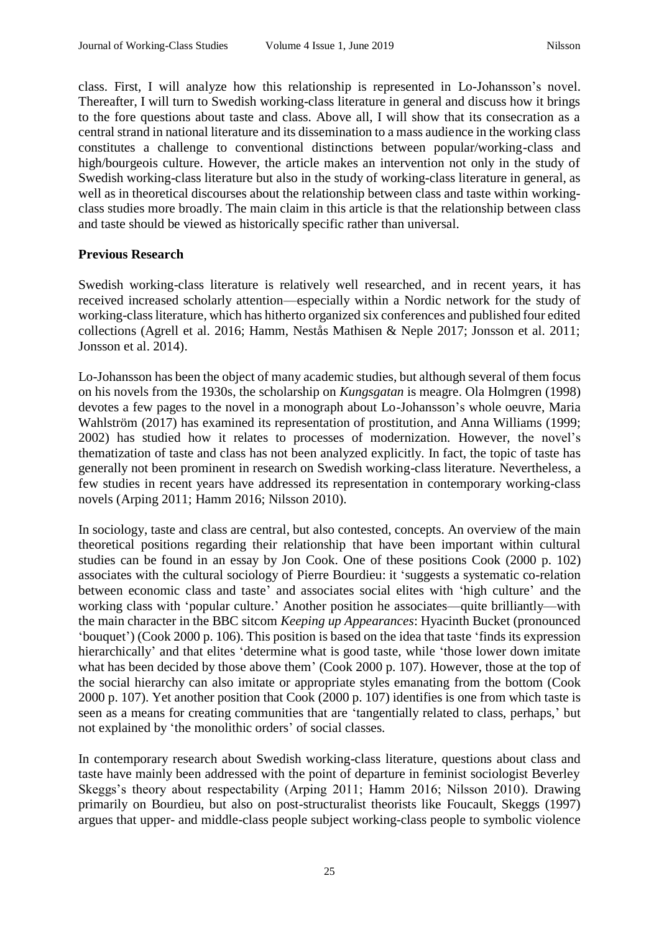class. First, I will analyze how this relationship is represented in Lo-Johansson's novel. Thereafter, I will turn to Swedish working-class literature in general and discuss how it brings to the fore questions about taste and class. Above all, I will show that its consecration as a central strand in national literature and its dissemination to a mass audience in the working class constitutes a challenge to conventional distinctions between popular/working-class and high/bourgeois culture. However, the article makes an intervention not only in the study of Swedish working-class literature but also in the study of working-class literature in general, as well as in theoretical discourses about the relationship between class and taste within workingclass studies more broadly. The main claim in this article is that the relationship between class and taste should be viewed as historically specific rather than universal.

#### **Previous Research**

Swedish working-class literature is relatively well researched, and in recent years, it has received increased scholarly attention—especially within a Nordic network for the study of working-class literature, which has hitherto organized six conferences and published four edited collections (Agrell et al. 2016; Hamm, Nestås Mathisen & Neple 2017; Jonsson et al. 2011; Jonsson et al. 2014).

Lo-Johansson has been the object of many academic studies, but although several of them focus on his novels from the 1930s, the scholarship on *Kungsgatan* is meagre. Ola Holmgren (1998) devotes a few pages to the novel in a monograph about Lo-Johansson's whole oeuvre, Maria Wahlström (2017) has examined its representation of prostitution, and Anna Williams (1999; 2002) has studied how it relates to processes of modernization. However, the novel's thematization of taste and class has not been analyzed explicitly. In fact, the topic of taste has generally not been prominent in research on Swedish working-class literature. Nevertheless, a few studies in recent years have addressed its representation in contemporary working-class novels (Arping 2011; Hamm 2016; Nilsson 2010).

In sociology, taste and class are central, but also contested, concepts. An overview of the main theoretical positions regarding their relationship that have been important within cultural studies can be found in an essay by Jon Cook. One of these positions Cook (2000 p. 102) associates with the cultural sociology of Pierre Bourdieu: it 'suggests a systematic co-relation between economic class and taste' and associates social elites with 'high culture' and the working class with 'popular culture.' Another position he associates—quite brilliantly—with the main character in the BBC sitcom *Keeping up Appearances*: Hyacinth Bucket (pronounced 'bouquet') (Cook 2000 p. 106). This position is based on the idea that taste 'finds its expression hierarchically' and that elites 'determine what is good taste, while 'those lower down imitate what has been decided by those above them' (Cook 2000 p. 107). However, those at the top of the social hierarchy can also imitate or appropriate styles emanating from the bottom (Cook 2000 p. 107). Yet another position that Cook (2000 p. 107) identifies is one from which taste is seen as a means for creating communities that are 'tangentially related to class, perhaps,' but not explained by 'the monolithic orders' of social classes.

In contemporary research about Swedish working-class literature, questions about class and taste have mainly been addressed with the point of departure in feminist sociologist Beverley Skeggs's theory about respectability (Arping 2011; Hamm 2016; Nilsson 2010). Drawing primarily on Bourdieu, but also on post-structuralist theorists like Foucault, Skeggs (1997) argues that upper- and middle-class people subject working-class people to symbolic violence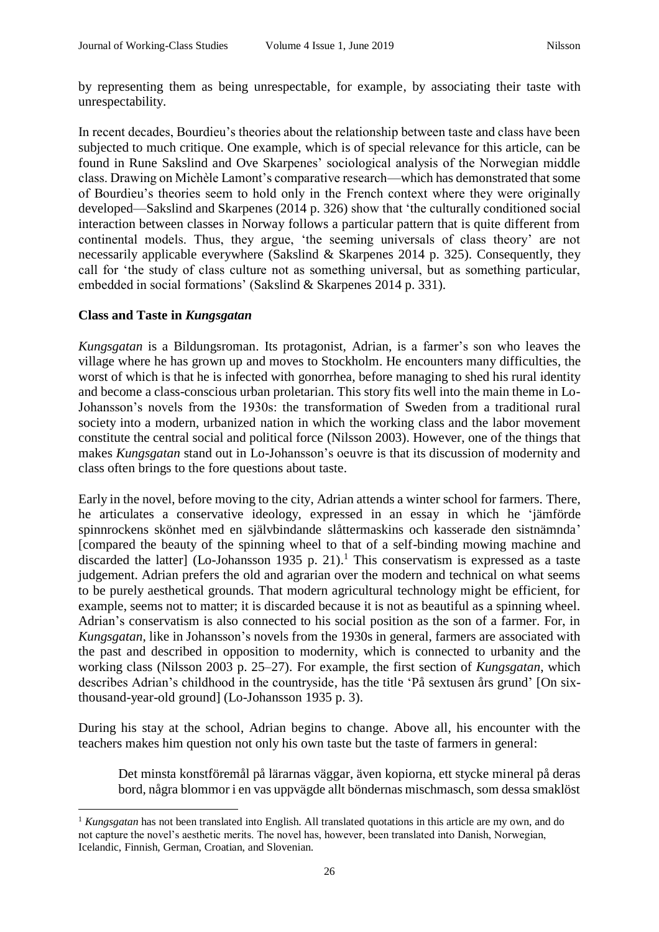by representing them as being unrespectable, for example, by associating their taste with unrespectability.

In recent decades, Bourdieu's theories about the relationship between taste and class have been subjected to much critique. One example, which is of special relevance for this article, can be found in Rune Sakslind and Ove Skarpenes' sociological analysis of the Norwegian middle class. Drawing on Michèle Lamont's comparative research—which has demonstrated that some of Bourdieu's theories seem to hold only in the French context where they were originally developed—Sakslind and Skarpenes (2014 p. 326) show that 'the culturally conditioned social interaction between classes in Norway follows a particular pattern that is quite different from continental models. Thus, they argue, 'the seeming universals of class theory' are not necessarily applicable everywhere (Sakslind & Skarpenes 2014 p. 325). Consequently, they call for 'the study of class culture not as something universal, but as something particular, embedded in social formations' (Sakslind & Skarpenes 2014 p. 331).

## **Class and Taste in** *Kungsgatan*

1

*Kungsgatan* is a Bildungsroman. Its protagonist, Adrian, is a farmer's son who leaves the village where he has grown up and moves to Stockholm. He encounters many difficulties, the worst of which is that he is infected with gonorrhea, before managing to shed his rural identity and become a class-conscious urban proletarian. This story fits well into the main theme in Lo-Johansson's novels from the 1930s: the transformation of Sweden from a traditional rural society into a modern, urbanized nation in which the working class and the labor movement constitute the central social and political force (Nilsson 2003). However, one of the things that makes *Kungsgatan* stand out in Lo-Johansson's oeuvre is that its discussion of modernity and class often brings to the fore questions about taste.

Early in the novel, before moving to the city, Adrian attends a winter school for farmers. There, he articulates a conservative ideology, expressed in an essay in which he 'jämförde spinnrockens skönhet med en självbindande slåttermaskins och kasserade den sistnämnda' [compared the beauty of the spinning wheel to that of a self-binding mowing machine and discarded the latter] (Lo-Johansson 1935 p. 21).<sup>1</sup> This conservatism is expressed as a taste judgement. Adrian prefers the old and agrarian over the modern and technical on what seems to be purely aesthetical grounds. That modern agricultural technology might be efficient, for example, seems not to matter; it is discarded because it is not as beautiful as a spinning wheel. Adrian's conservatism is also connected to his social position as the son of a farmer. For, in *Kungsgatan*, like in Johansson's novels from the 1930s in general, farmers are associated with the past and described in opposition to modernity, which is connected to urbanity and the working class (Nilsson 2003 p. 25–27). For example, the first section of *Kungsgatan*, which describes Adrian's childhood in the countryside, has the title 'På sextusen års grund' [On sixthousand-year-old ground] (Lo-Johansson 1935 p. 3).

During his stay at the school, Adrian begins to change. Above all, his encounter with the teachers makes him question not only his own taste but the taste of farmers in general:

Det minsta konstföremål på lärarnas väggar, även kopiorna, ett stycke mineral på deras bord, några blommor i en vas uppvägde allt böndernas mischmasch, som dessa smaklöst

<sup>&</sup>lt;sup>1</sup> *Kungsgatan* has not been translated into English. All translated quotations in this article are my own, and do not capture the novel's aesthetic merits. The novel has, however, been translated into Danish, Norwegian, Icelandic, Finnish, German, Croatian, and Slovenian.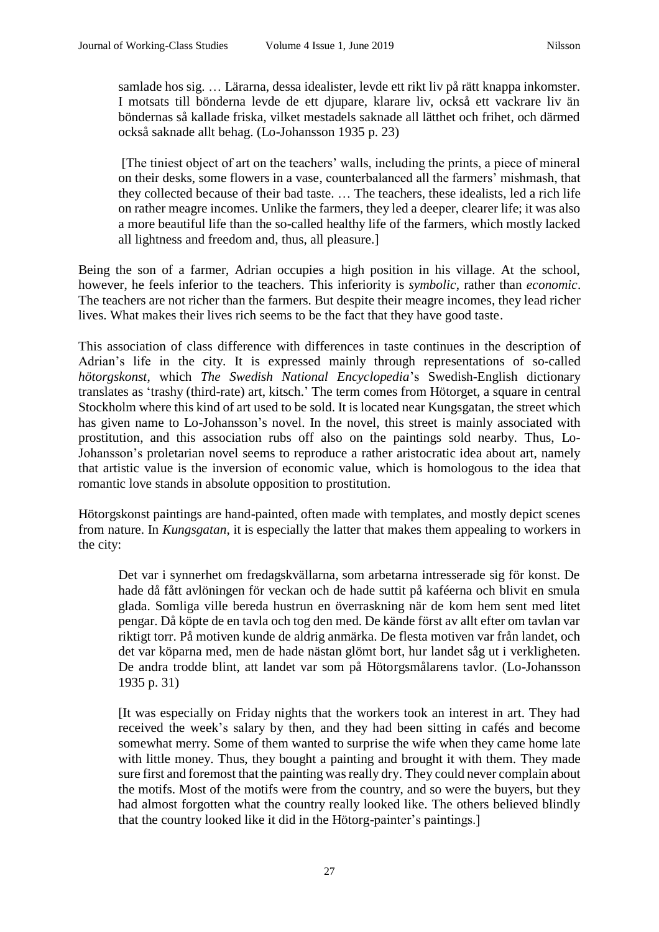samlade hos sig. … Lärarna, dessa idealister, levde ett rikt liv på rätt knappa inkomster. I motsats till bönderna levde de ett djupare, klarare liv, också ett vackrare liv än böndernas så kallade friska, vilket mestadels saknade all lätthet och frihet, och därmed också saknade allt behag. (Lo-Johansson 1935 p. 23)

[The tiniest object of art on the teachers' walls, including the prints, a piece of mineral on their desks, some flowers in a vase, counterbalanced all the farmers' mishmash, that they collected because of their bad taste. … The teachers, these idealists, led a rich life on rather meagre incomes. Unlike the farmers, they led a deeper, clearer life; it was also a more beautiful life than the so-called healthy life of the farmers, which mostly lacked all lightness and freedom and, thus, all pleasure.]

Being the son of a farmer, Adrian occupies a high position in his village. At the school, however, he feels inferior to the teachers. This inferiority is *symbolic*, rather than *economic*. The teachers are not richer than the farmers. But despite their meagre incomes, they lead richer lives. What makes their lives rich seems to be the fact that they have good taste.

This association of class difference with differences in taste continues in the description of Adrian's life in the city. It is expressed mainly through representations of so-called *hötorgskonst*, which *The Swedish National Encyclopedia*'s Swedish-English dictionary translates as 'trashy (third-rate) art, kitsch.' The term comes from Hötorget, a square in central Stockholm where this kind of art used to be sold. It is located near Kungsgatan, the street which has given name to Lo-Johansson's novel. In the novel, this street is mainly associated with prostitution, and this association rubs off also on the paintings sold nearby. Thus, Lo-Johansson's proletarian novel seems to reproduce a rather aristocratic idea about art, namely that artistic value is the inversion of economic value, which is homologous to the idea that romantic love stands in absolute opposition to prostitution.

Hötorgskonst paintings are hand-painted, often made with templates, and mostly depict scenes from nature. In *Kungsgatan*, it is especially the latter that makes them appealing to workers in the city:

Det var i synnerhet om fredagskvällarna, som arbetarna intresserade sig för konst. De hade då fått avlöningen för veckan och de hade suttit på kaféerna och blivit en smula glada. Somliga ville bereda hustrun en överraskning när de kom hem sent med litet pengar. Då köpte de en tavla och tog den med. De kände först av allt efter om tavlan var riktigt torr. På motiven kunde de aldrig anmärka. De flesta motiven var från landet, och det var köparna med, men de hade nästan glömt bort, hur landet såg ut i verkligheten. De andra trodde blint, att landet var som på Hötorgsmålarens tavlor. (Lo-Johansson 1935 p. 31)

[It was especially on Friday nights that the workers took an interest in art. They had received the week's salary by then, and they had been sitting in cafés and become somewhat merry. Some of them wanted to surprise the wife when they came home late with little money. Thus, they bought a painting and brought it with them. They made sure first and foremost that the painting was really dry. They could never complain about the motifs. Most of the motifs were from the country, and so were the buyers, but they had almost forgotten what the country really looked like. The others believed blindly that the country looked like it did in the Hötorg-painter's paintings.]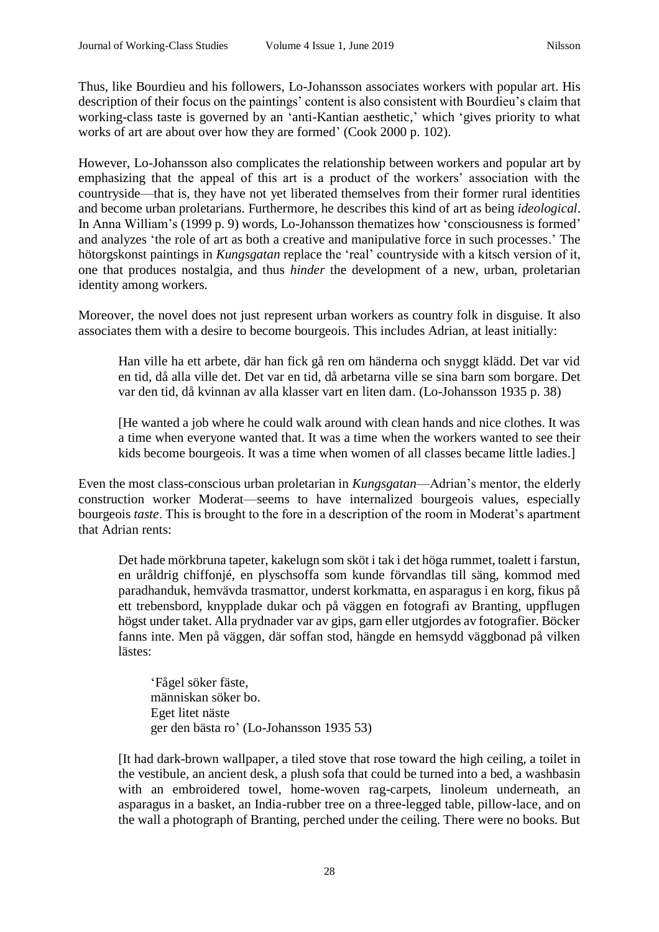Thus, like Bourdieu and his followers, Lo-Johansson associates workers with popular art. His description of their focus on the paintings' content is also consistent with Bourdieu's claim that working-class taste is governed by an 'anti-Kantian aesthetic,' which 'gives priority to what works of art are about over how they are formed' (Cook 2000 p. 102).

However, Lo-Johansson also complicates the relationship between workers and popular art by emphasizing that the appeal of this art is a product of the workers' association with the countryside—that is, they have not yet liberated themselves from their former rural identities and become urban proletarians. Furthermore, he describes this kind of art as being *ideological*. In Anna William's (1999 p. 9) words, Lo-Johansson thematizes how 'consciousness is formed' and analyzes 'the role of art as both a creative and manipulative force in such processes.' The hötorgskonst paintings in *Kungsgatan* replace the 'real' countryside with a kitsch version of it, one that produces nostalgia, and thus *hinder* the development of a new, urban, proletarian identity among workers.

Moreover, the novel does not just represent urban workers as country folk in disguise. It also associates them with a desire to become bourgeois. This includes Adrian, at least initially:

Han ville ha ett arbete, där han fick gå ren om händerna och snyggt klädd. Det var vid en tid, då alla ville det. Det var en tid, då arbetarna ville se sina barn som borgare. Det var den tid, då kvinnan av alla klasser vart en liten dam. (Lo-Johansson 1935 p. 38)

[He wanted a job where he could walk around with clean hands and nice clothes. It was a time when everyone wanted that. It was a time when the workers wanted to see their kids become bourgeois. It was a time when women of all classes became little ladies.]

Even the most class-conscious urban proletarian in *Kungsgatan*—Adrian's mentor, the elderly construction worker Moderat—seems to have internalized bourgeois values, especially bourgeois *taste*. This is brought to the fore in a description of the room in Moderat's apartment that Adrian rents:

Det hade mörkbruna tapeter, kakelugn som sköt i tak i det höga rummet, toalett i farstun, en uråldrig chiffonjé, en plyschsoffa som kunde förvandlas till säng, kommod med paradhanduk, hemvävda trasmattor, underst korkmatta, en asparagus i en korg, fikus på ett trebensbord, knypplade dukar och på väggen en fotografi av Branting, uppflugen högst under taket. Alla prydnader var av gips, garn eller utgjordes av fotografier. Böcker fanns inte. Men på väggen, där soffan stod, hängde en hemsydd väggbonad på vilken lästes:

'Fågel söker fäste, människan söker bo. Eget litet näste ger den bästa ro' (Lo-Johansson 1935 53)

[It had dark-brown wallpaper, a tiled stove that rose toward the high ceiling, a toilet in the vestibule, an ancient desk, a plush sofa that could be turned into a bed, a washbasin with an embroidered towel, home-woven rag-carpets, linoleum underneath, an asparagus in a basket, an India-rubber tree on a three-legged table, pillow-lace, and on the wall a photograph of Branting, perched under the ceiling. There were no books. But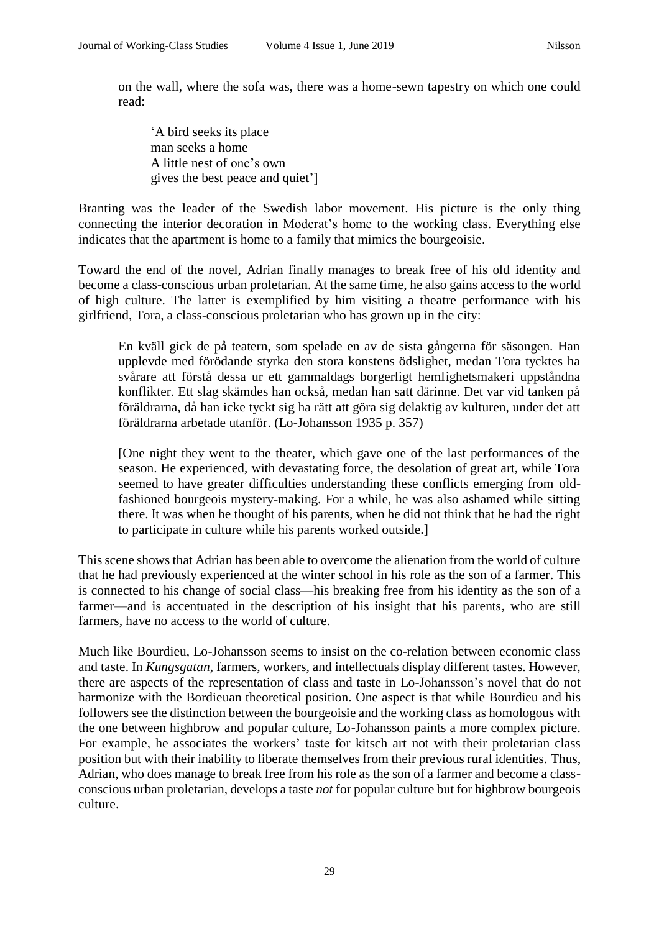on the wall, where the sofa was, there was a home-sewn tapestry on which one could read:

'A bird seeks its place man seeks a home A little nest of one's own gives the best peace and quiet']

Branting was the leader of the Swedish labor movement. His picture is the only thing connecting the interior decoration in Moderat's home to the working class. Everything else indicates that the apartment is home to a family that mimics the bourgeoisie.

Toward the end of the novel, Adrian finally manages to break free of his old identity and become a class-conscious urban proletarian. At the same time, he also gains access to the world of high culture. The latter is exemplified by him visiting a theatre performance with his girlfriend, Tora, a class-conscious proletarian who has grown up in the city:

En kväll gick de på teatern, som spelade en av de sista gångerna för säsongen. Han upplevde med förödande styrka den stora konstens ödslighet, medan Tora tycktes ha svårare att förstå dessa ur ett gammaldags borgerligt hemlighetsmakeri uppståndna konflikter. Ett slag skämdes han också, medan han satt därinne. Det var vid tanken på föräldrarna, då han icke tyckt sig ha rätt att göra sig delaktig av kulturen, under det att föräldrarna arbetade utanför. (Lo-Johansson 1935 p. 357)

[One night they went to the theater, which gave one of the last performances of the season. He experienced, with devastating force, the desolation of great art, while Tora seemed to have greater difficulties understanding these conflicts emerging from oldfashioned bourgeois mystery-making. For a while, he was also ashamed while sitting there. It was when he thought of his parents, when he did not think that he had the right to participate in culture while his parents worked outside.]

This scene shows that Adrian has been able to overcome the alienation from the world of culture that he had previously experienced at the winter school in his role as the son of a farmer. This is connected to his change of social class—his breaking free from his identity as the son of a farmer—and is accentuated in the description of his insight that his parents, who are still farmers, have no access to the world of culture.

Much like Bourdieu, Lo-Johansson seems to insist on the co-relation between economic class and taste. In *Kungsgatan*, farmers, workers, and intellectuals display different tastes. However, there are aspects of the representation of class and taste in Lo-Johansson's novel that do not harmonize with the Bordieuan theoretical position. One aspect is that while Bourdieu and his followers see the distinction between the bourgeoisie and the working class as homologous with the one between highbrow and popular culture, Lo-Johansson paints a more complex picture. For example, he associates the workers' taste for kitsch art not with their proletarian class position but with their inability to liberate themselves from their previous rural identities. Thus, Adrian, who does manage to break free from his role as the son of a farmer and become a classconscious urban proletarian, develops a taste *not* for popular culture but for highbrow bourgeois culture.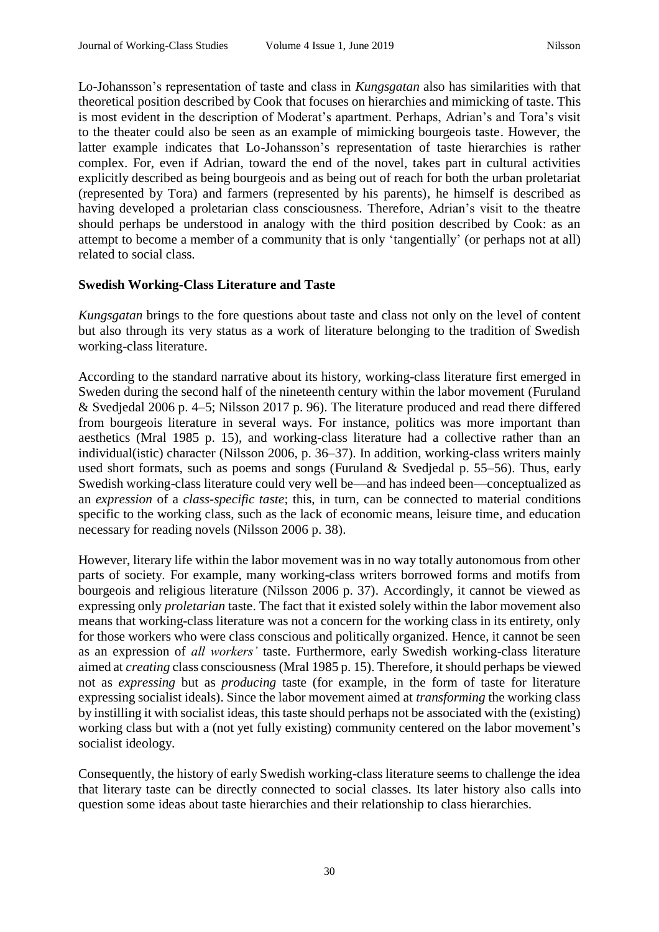Lo-Johansson's representation of taste and class in *Kungsgatan* also has similarities with that theoretical position described by Cook that focuses on hierarchies and mimicking of taste. This is most evident in the description of Moderat's apartment. Perhaps, Adrian's and Tora's visit to the theater could also be seen as an example of mimicking bourgeois taste. However, the latter example indicates that Lo-Johansson's representation of taste hierarchies is rather complex. For, even if Adrian, toward the end of the novel, takes part in cultural activities explicitly described as being bourgeois and as being out of reach for both the urban proletariat (represented by Tora) and farmers (represented by his parents), he himself is described as having developed a proletarian class consciousness. Therefore, Adrian's visit to the theatre should perhaps be understood in analogy with the third position described by Cook: as an attempt to become a member of a community that is only 'tangentially' (or perhaps not at all) related to social class.

## **Swedish Working-Class Literature and Taste**

*Kungsgatan* brings to the fore questions about taste and class not only on the level of content but also through its very status as a work of literature belonging to the tradition of Swedish working-class literature.

According to the standard narrative about its history, working-class literature first emerged in Sweden during the second half of the nineteenth century within the labor movement (Furuland & Svedjedal 2006 p. 4–5; Nilsson 2017 p. 96). The literature produced and read there differed from bourgeois literature in several ways. For instance, politics was more important than aesthetics (Mral 1985 p. 15), and working-class literature had a collective rather than an individual(istic) character (Nilsson 2006, p. 36–37). In addition, working-class writers mainly used short formats, such as poems and songs (Furuland & Svedjedal p. 55–56). Thus, early Swedish working-class literature could very well be—and has indeed been—conceptualized as an *expression* of a *class-specific taste*; this, in turn, can be connected to material conditions specific to the working class, such as the lack of economic means, leisure time, and education necessary for reading novels (Nilsson 2006 p. 38).

However, literary life within the labor movement was in no way totally autonomous from other parts of society. For example, many working-class writers borrowed forms and motifs from bourgeois and religious literature (Nilsson 2006 p. 37). Accordingly, it cannot be viewed as expressing only *proletarian* taste. The fact that it existed solely within the labor movement also means that working-class literature was not a concern for the working class in its entirety, only for those workers who were class conscious and politically organized. Hence, it cannot be seen as an expression of *all workers'* taste. Furthermore, early Swedish working-class literature aimed at *creating* class consciousness (Mral 1985 p. 15). Therefore, it should perhaps be viewed not as *expressing* but as *producing* taste (for example, in the form of taste for literature expressing socialist ideals). Since the labor movement aimed at *transforming* the working class by instilling it with socialist ideas, this taste should perhaps not be associated with the (existing) working class but with a (not yet fully existing) community centered on the labor movement's socialist ideology.

Consequently, the history of early Swedish working-class literature seems to challenge the idea that literary taste can be directly connected to social classes. Its later history also calls into question some ideas about taste hierarchies and their relationship to class hierarchies.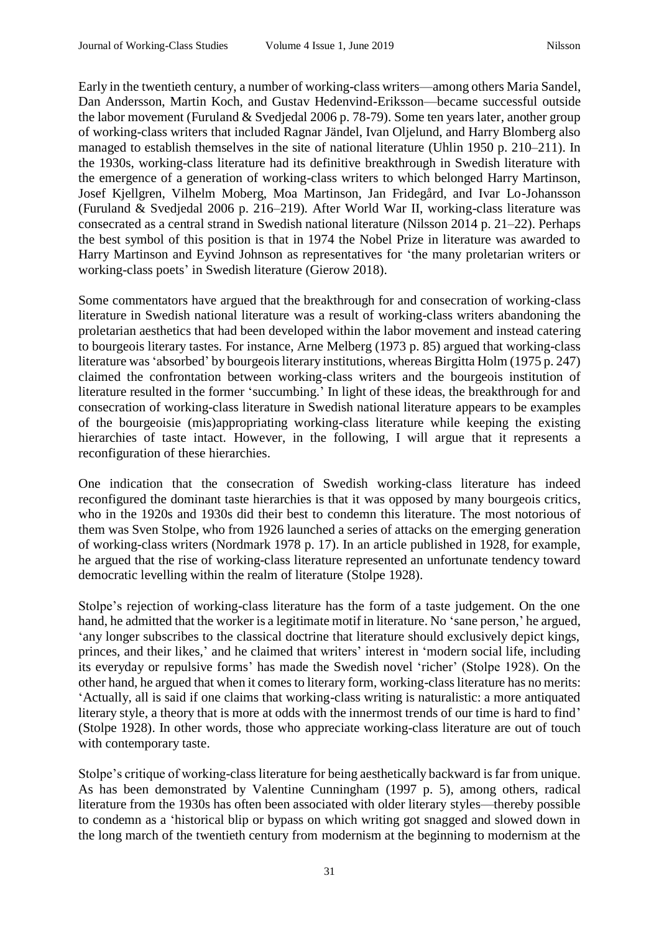Early in the twentieth century, a number of working-class writers—among others Maria Sandel, Dan Andersson, Martin Koch, and Gustav Hedenvind-Eriksson—became successful outside the labor movement (Furuland & Svedjedal 2006 p. 78-79). Some ten years later, another group of working-class writers that included Ragnar Jändel, Ivan Oljelund, and Harry Blomberg also managed to establish themselves in the site of national literature (Uhlin 1950 p. 210–211). In the 1930s, working-class literature had its definitive breakthrough in Swedish literature with the emergence of a generation of working-class writers to which belonged Harry Martinson, Josef Kjellgren, Vilhelm Moberg, Moa Martinson, Jan Fridegård, and Ivar Lo-Johansson (Furuland & Svedjedal 2006 p. 216–219). After World War II, working-class literature was consecrated as a central strand in Swedish national literature (Nilsson 2014 p. 21–22). Perhaps the best symbol of this position is that in 1974 the Nobel Prize in literature was awarded to Harry Martinson and Eyvind Johnson as representatives for 'the many proletarian writers or working-class poets' in Swedish literature (Gierow 2018).

Some commentators have argued that the breakthrough for and consecration of working-class literature in Swedish national literature was a result of working-class writers abandoning the proletarian aesthetics that had been developed within the labor movement and instead catering to bourgeois literary tastes. For instance, Arne Melberg (1973 p. 85) argued that working-class literature was 'absorbed' by bourgeois literary institutions, whereas Birgitta Holm (1975 p. 247) claimed the confrontation between working-class writers and the bourgeois institution of literature resulted in the former 'succumbing.' In light of these ideas, the breakthrough for and consecration of working-class literature in Swedish national literature appears to be examples of the bourgeoisie (mis)appropriating working-class literature while keeping the existing hierarchies of taste intact. However, in the following, I will argue that it represents a reconfiguration of these hierarchies.

One indication that the consecration of Swedish working-class literature has indeed reconfigured the dominant taste hierarchies is that it was opposed by many bourgeois critics, who in the 1920s and 1930s did their best to condemn this literature. The most notorious of them was Sven Stolpe, who from 1926 launched a series of attacks on the emerging generation of working-class writers (Nordmark 1978 p. 17). In an article published in 1928, for example, he argued that the rise of working-class literature represented an unfortunate tendency toward democratic levelling within the realm of literature (Stolpe 1928).

Stolpe's rejection of working-class literature has the form of a taste judgement. On the one hand, he admitted that the worker is a legitimate motif in literature. No 'sane person,' he argued, 'any longer subscribes to the classical doctrine that literature should exclusively depict kings, princes, and their likes,' and he claimed that writers' interest in 'modern social life, including its everyday or repulsive forms' has made the Swedish novel 'richer' (Stolpe 1928). On the other hand, he argued that when it comes to literary form, working-class literature has no merits: 'Actually, all is said if one claims that working-class writing is naturalistic: a more antiquated literary style, a theory that is more at odds with the innermost trends of our time is hard to find' (Stolpe 1928). In other words, those who appreciate working-class literature are out of touch with contemporary taste.

Stolpe's critique of working-class literature for being aesthetically backward is far from unique. As has been demonstrated by Valentine Cunningham (1997 p. 5), among others, radical literature from the 1930s has often been associated with older literary styles—thereby possible to condemn as a 'historical blip or bypass on which writing got snagged and slowed down in the long march of the twentieth century from modernism at the beginning to modernism at the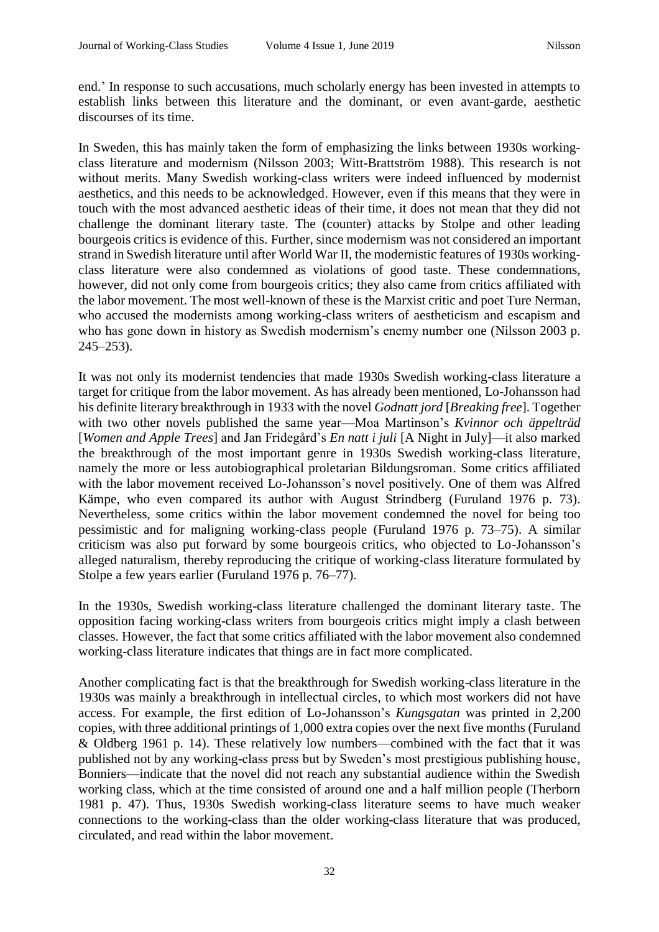end.' In response to such accusations, much scholarly energy has been invested in attempts to establish links between this literature and the dominant, or even avant-garde, aesthetic discourses of its time.

In Sweden, this has mainly taken the form of emphasizing the links between 1930s workingclass literature and modernism (Nilsson 2003; Witt-Brattström 1988). This research is not without merits. Many Swedish working-class writers were indeed influenced by modernist aesthetics, and this needs to be acknowledged. However, even if this means that they were in touch with the most advanced aesthetic ideas of their time, it does not mean that they did not challenge the dominant literary taste. The (counter) attacks by Stolpe and other leading bourgeois critics is evidence of this. Further, since modernism was not considered an important strand in Swedish literature until after World War II, the modernistic features of 1930s workingclass literature were also condemned as violations of good taste. These condemnations, however, did not only come from bourgeois critics; they also came from critics affiliated with the labor movement. The most well-known of these is the Marxist critic and poet Ture Nerman, who accused the modernists among working-class writers of aestheticism and escapism and who has gone down in history as Swedish modernism's enemy number one (Nilsson 2003 p. 245–253).

It was not only its modernist tendencies that made 1930s Swedish working-class literature a target for critique from the labor movement. As has already been mentioned, Lo-Johansson had his definite literary breakthrough in 1933 with the novel *Godnatt jord* [*Breaking free*]. Together with two other novels published the same year—Moa Martinson's *Kvinnor och äppelträd* [*Women and Apple Trees*] and Jan Fridegård's *En natt i juli* [A Night in July]—it also marked the breakthrough of the most important genre in 1930s Swedish working-class literature, namely the more or less autobiographical proletarian Bildungsroman. Some critics affiliated with the labor movement received Lo-Johansson's novel positively. One of them was Alfred Kämpe, who even compared its author with August Strindberg (Furuland 1976 p. 73). Nevertheless, some critics within the labor movement condemned the novel for being too pessimistic and for maligning working-class people (Furuland 1976 p. 73–75). A similar criticism was also put forward by some bourgeois critics, who objected to Lo-Johansson's alleged naturalism, thereby reproducing the critique of working-class literature formulated by Stolpe a few years earlier (Furuland 1976 p. 76–77).

In the 1930s, Swedish working-class literature challenged the dominant literary taste. The opposition facing working-class writers from bourgeois critics might imply a clash between classes. However, the fact that some critics affiliated with the labor movement also condemned working-class literature indicates that things are in fact more complicated.

Another complicating fact is that the breakthrough for Swedish working-class literature in the 1930s was mainly a breakthrough in intellectual circles, to which most workers did not have access. For example, the first edition of Lo-Johansson's *Kungsgatan* was printed in 2,200 copies, with three additional printings of 1,000 extra copies over the next five months (Furuland & Oldberg 1961 p. 14). These relatively low numbers—combined with the fact that it was published not by any working-class press but by Sweden's most prestigious publishing house, Bonniers—indicate that the novel did not reach any substantial audience within the Swedish working class, which at the time consisted of around one and a half million people (Therborn 1981 p. 47). Thus, 1930s Swedish working-class literature seems to have much weaker connections to the working-class than the older working-class literature that was produced, circulated, and read within the labor movement.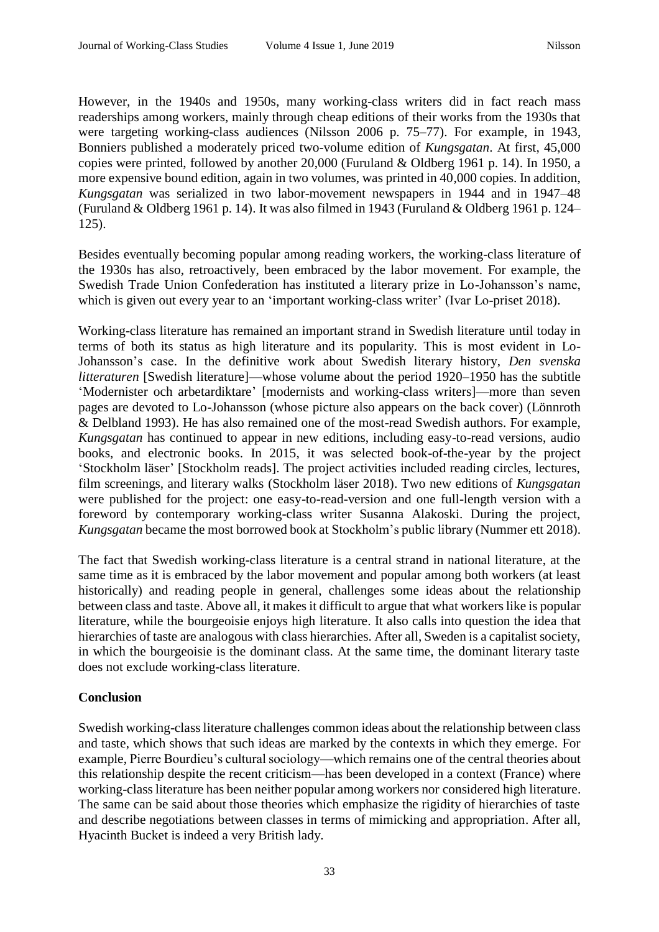However, in the 1940s and 1950s, many working-class writers did in fact reach mass readerships among workers, mainly through cheap editions of their works from the 1930s that were targeting working-class audiences (Nilsson 2006 p. 75–77). For example, in 1943, Bonniers published a moderately priced two-volume edition of *Kungsgatan*. At first, 45,000 copies were printed, followed by another 20,000 (Furuland & Oldberg 1961 p. 14). In 1950, a more expensive bound edition, again in two volumes, was printed in 40,000 copies. In addition, *Kungsgatan* was serialized in two labor-movement newspapers in 1944 and in 1947–48 (Furuland & Oldberg 1961 p. 14). It was also filmed in 1943 (Furuland & Oldberg 1961 p. 124– 125).

Besides eventually becoming popular among reading workers, the working-class literature of the 1930s has also, retroactively, been embraced by the labor movement. For example, the Swedish Trade Union Confederation has instituted a literary prize in Lo-Johansson's name, which is given out every year to an 'important working-class writer' (Ivar Lo-priset 2018).

Working-class literature has remained an important strand in Swedish literature until today in terms of both its status as high literature and its popularity. This is most evident in Lo-Johansson's case. In the definitive work about Swedish literary history, *Den svenska litteraturen* [Swedish literature]—whose volume about the period 1920–1950 has the subtitle 'Modernister och arbetardiktare' [modernists and working-class writers]—more than seven pages are devoted to Lo-Johansson (whose picture also appears on the back cover) (Lönnroth & Delbland 1993). He has also remained one of the most-read Swedish authors. For example, *Kungsgatan* has continued to appear in new editions, including easy-to-read versions, audio books, and electronic books. In 2015, it was selected book-of-the-year by the project 'Stockholm läser' [Stockholm reads]. The project activities included reading circles, lectures, film screenings, and literary walks (Stockholm läser 2018). Two new editions of *Kungsgatan*  were published for the project: one easy-to-read-version and one full-length version with a foreword by contemporary working-class writer Susanna Alakoski. During the project, *Kungsgatan* became the most borrowed book at Stockholm's public library (Nummer ett 2018).

The fact that Swedish working-class literature is a central strand in national literature, at the same time as it is embraced by the labor movement and popular among both workers (at least historically) and reading people in general, challenges some ideas about the relationship between class and taste. Above all, it makes it difficult to argue that what workers like is popular literature, while the bourgeoisie enjoys high literature. It also calls into question the idea that hierarchies of taste are analogous with class hierarchies. After all, Sweden is a capitalist society, in which the bourgeoisie is the dominant class. At the same time, the dominant literary taste does not exclude working-class literature.

## **Conclusion**

Swedish working-class literature challenges common ideas about the relationship between class and taste, which shows that such ideas are marked by the contexts in which they emerge. For example, Pierre Bourdieu's cultural sociology—which remains one of the central theories about this relationship despite the recent criticism—has been developed in a context (France) where working-class literature has been neither popular among workers nor considered high literature. The same can be said about those theories which emphasize the rigidity of hierarchies of taste and describe negotiations between classes in terms of mimicking and appropriation. After all, Hyacinth Bucket is indeed a very British lady.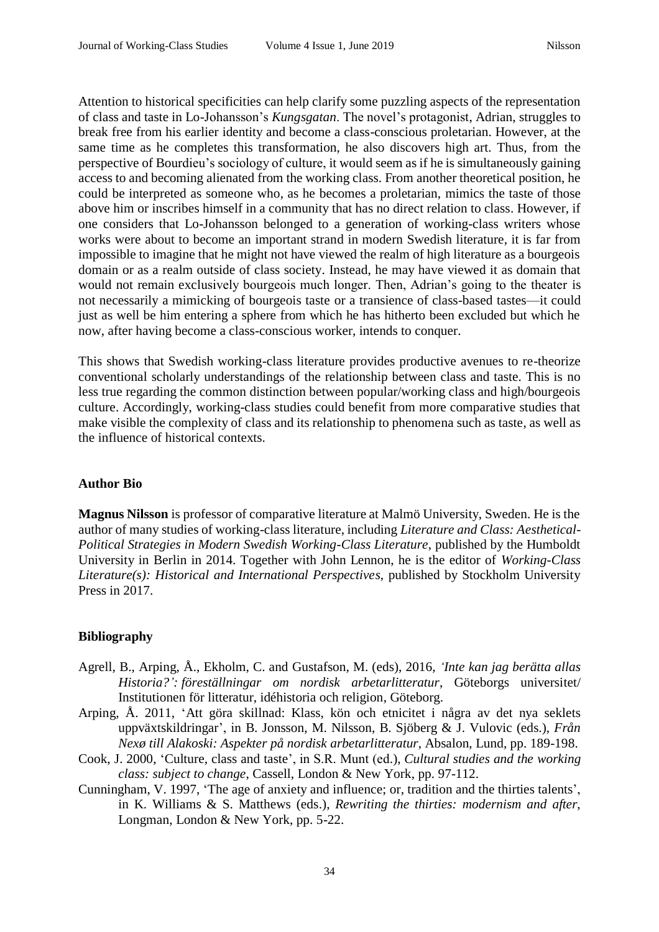Attention to historical specificities can help clarify some puzzling aspects of the representation of class and taste in Lo-Johansson's *Kungsgatan*. The novel's protagonist, Adrian, struggles to break free from his earlier identity and become a class-conscious proletarian. However, at the same time as he completes this transformation, he also discovers high art. Thus, from the perspective of Bourdieu's sociology of culture, it would seem as if he is simultaneously gaining access to and becoming alienated from the working class. From another theoretical position, he could be interpreted as someone who, as he becomes a proletarian, mimics the taste of those above him or inscribes himself in a community that has no direct relation to class. However, if one considers that Lo-Johansson belonged to a generation of working-class writers whose works were about to become an important strand in modern Swedish literature, it is far from impossible to imagine that he might not have viewed the realm of high literature as a bourgeois domain or as a realm outside of class society. Instead, he may have viewed it as domain that would not remain exclusively bourgeois much longer. Then, Adrian's going to the theater is not necessarily a mimicking of bourgeois taste or a transience of class-based tastes—it could just as well be him entering a sphere from which he has hitherto been excluded but which he now, after having become a class-conscious worker, intends to conquer.

This shows that Swedish working-class literature provides productive avenues to re-theorize conventional scholarly understandings of the relationship between class and taste. This is no less true regarding the common distinction between popular/working class and high/bourgeois culture. Accordingly, working-class studies could benefit from more comparative studies that make visible the complexity of class and its relationship to phenomena such as taste, as well as the influence of historical contexts.

## **Author Bio**

**Magnus Nilsson** is professor of comparative literature at Malmö University, Sweden. He is the author of many studies of working-class literature, including *Literature and Class: Aesthetical-Political Strategies in Modern Swedish Working-Class Literature*, published by the Humboldt University in Berlin in 2014. Together with John Lennon, he is the editor of *Working-Class Literature(s): Historical and International Perspectives*, published by Stockholm University Press in 2017.

## **Bibliography**

- Agrell, B., Arping, Å., Ekholm, C. and Gustafson, M. (eds), 2016, *'Inte kan jag berätta allas Historia?': föreställningar om nordisk arbetarlitteratur*, Göteborgs universitet/ Institutionen för litteratur, idéhistoria och religion, Göteborg.
- Arping, Å. 2011, 'Att göra skillnad: Klass, kön och etnicitet i några av det nya seklets uppväxtskildringar', in B. Jonsson, M. Nilsson, B. Sjöberg & J. Vulovic (eds.), *Från Nexø till Alakoski: Aspekter på nordisk arbetarlitteratur*, Absalon, Lund, pp. 189-198.
- Cook, J. 2000, 'Culture, class and taste', in S.R. Munt (ed.), *Cultural studies and the working class: subject to change*, Cassell, London & New York, pp. 97-112.
- Cunningham, V. 1997, 'The age of anxiety and influence; or, tradition and the thirties talents', in K. Williams & S. Matthews (eds.), *Rewriting the thirties: modernism and after*, Longman, London & New York, pp. 5-22.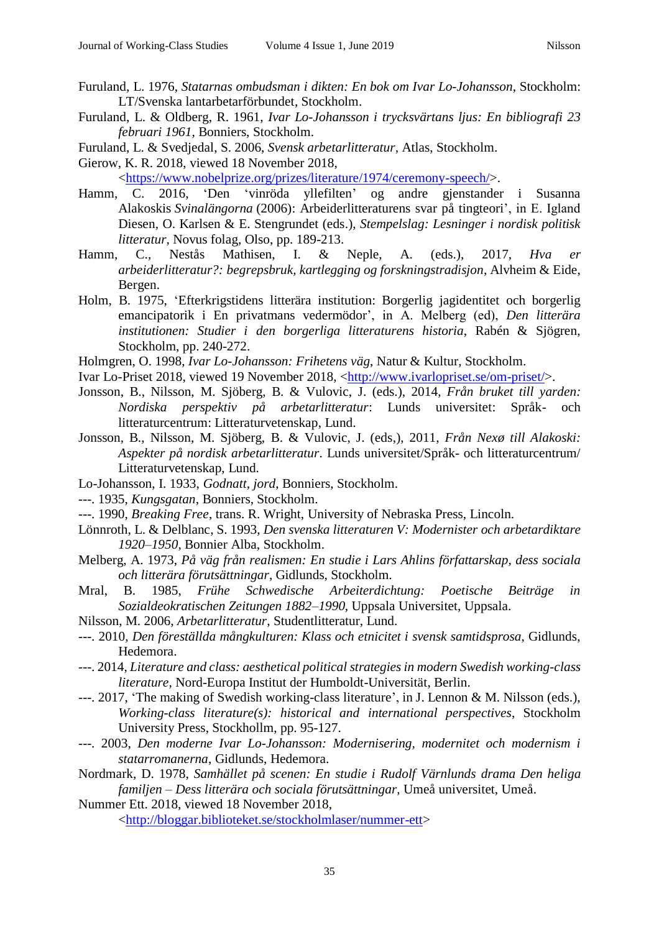- Furuland, L. 1976, *Statarnas ombudsman i dikten: En bok om Ivar Lo-Johansson*, Stockholm: LT/Svenska lantarbetarförbundet, Stockholm.
- Furuland, L. & Oldberg, R. 1961, *Ivar Lo-Johansson i trycksvärtans ljus: En bibliografi 23 februari 1961*, Bonniers, Stockholm.
- Furuland, L. & Svedjedal, S. 2006, *Svensk arbetarlitteratur,* Atlas, Stockholm.
- Gierow, K. R. 2018, viewed 18 November 2018,

[<https://www.nobelprize.org/prizes/literature/1974/ceremony-speech/>](https://www.nobelprize.org/prizes/literature/1974/ceremony-speech/).

- Hamm, C. 2016, 'Den 'vinröda yllefilten' og andre gjenstander i Susanna Alakoskis *Svinalängorna* (2006): Arbeiderlitteraturens svar på tingteori', in E. Igland Diesen, O. Karlsen & E. Stengrundet (eds.), *Stempelslag: Lesninger i nordisk politisk litteratur*, Novus folag, Olso, pp. 189-213.
- Hamm, C., Nestås Mathisen, I. & Neple, A. (eds.), 2017, *Hva er arbeiderlitteratur?: begrepsbruk, kartlegging og forskningstradisjon*, Alvheim & Eide, Bergen.
- Holm, B. 1975, 'Efterkrigstidens litterära institution: Borgerlig jagidentitet och borgerlig emancipatorik i En privatmans vedermödor', in A. Melberg (ed), *Den litterära institutionen: Studier i den borgerliga litteraturens historia*, Rabén & Sjögren, Stockholm, pp. 240-272.
- Holmgren, O. 1998, *Ivar Lo-Johansson: Frihetens väg*, Natur & Kultur, Stockholm.
- Ivar Lo-Priset 2018, viewed 19 November 2018, [<http://www.ivarlopriset.se/om-priset/>](http://www.ivarlopriset.se/om-priset/).
- Jonsson, B., Nilsson, M. Sjöberg, B. & Vulovic, J. (eds.), 2014, *Från bruket till yarden: Nordiska perspektiv på arbetarlitteratur*: Lunds universitet: Språk- och litteraturcentrum: Litteraturvetenskap, Lund.
- Jonsson, B., Nilsson, M. Sjöberg, B. & Vulovic, J. (eds,), 2011, *Från Nexø till Alakoski: Aspekter på nordisk arbetarlitteratur*. Lunds universitet/Språk- och litteraturcentrum/ Litteraturvetenskap, Lund.
- Lo-Johansson, I. 1933, *Godnatt, jord*, Bonniers, Stockholm.
- ---. 1935, *Kungsgatan*, Bonniers, Stockholm.
- ---. 1990, *Breaking Free*, trans. R. Wright, University of Nebraska Press, Lincoln.
- Lönnroth, L. & Delblanc, S. 1993, *Den svenska litteraturen V: Modernister och arbetardiktare 1920–1950*, Bonnier Alba, Stockholm.
- Melberg, A. 1973, *På väg från realismen: En studie i Lars Ahlins författarskap, dess sociala och litterära förutsättningar*, Gidlunds, Stockholm.
- Mral, B. 1985, *Frühe Schwedische Arbeiterdichtung: Poetische Beiträge in Sozialdeokratischen Zeitungen 1882–1990*, Uppsala Universitet, Uppsala.
- Nilsson, M. 2006, *Arbetarlitteratur*, Studentlitteratur, Lund.
- ---. 2010, *Den föreställda mångkulturen: Klass och etnicitet i svensk samtidsprosa*, Gidlunds, Hedemora.
- ---. 2014, *Literature and class: aesthetical political strategies in modern Swedish working-class literature,* Nord-Europa Institut der Humboldt-Universität, Berlin.
- ---. 2017, 'The making of Swedish working-class literature', in J. Lennon & M. Nilsson (eds.), *Working-class literature(s): historical and international perspectives*, Stockholm University Press, Stockhollm, pp. 95-127.
- ---. 2003, *Den moderne Ivar Lo-Johansson: Modernisering, modernitet och modernism i statarromanerna*, Gidlunds, Hedemora.
- Nordmark, D. 1978, *Samhället på scenen: En studie i Rudolf Värnlunds drama Den heliga familjen – Dess litterära och sociala förutsättningar*, Umeå universitet, Umeå.
- Nummer Ett. 2018, viewed 18 November 2018, [<http://bloggar.biblioteket.se/stockholmlaser/nummer-ett>](http://bloggar.biblioteket.se/stockholmlaser/nummer-ett)